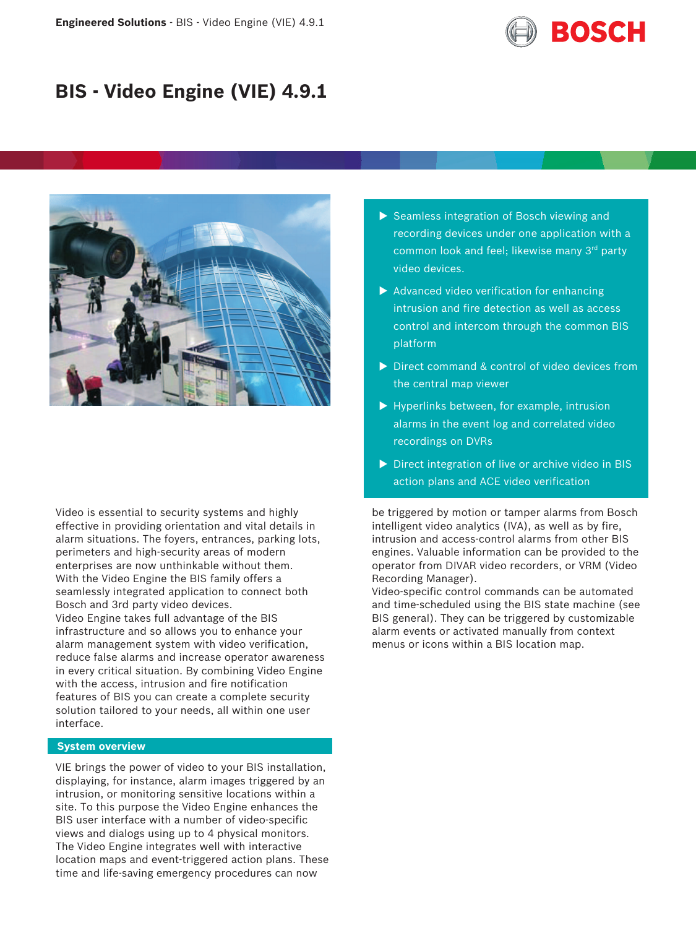

# **BIS - Video Engine (VIE) 4.9.1**



Video is essential to security systems and highly effective in providing orientation and vital details in alarm situations. The foyers, entrances, parking lots, perimeters and high-security areas of modern enterprises are now unthinkable without them. With the Video Engine the BIS family offers a seamlessly integrated application to connect both Bosch and 3rd party video devices. Video Engine takes full advantage of the BIS infrastructure and so allows you to enhance your alarm management system with video verification, reduce false alarms and increase operator awareness in every critical situation. By combining Video Engine with the access, intrusion and fire notification features of BIS you can create a complete security solution tailored to your needs, all within one user interface.

# **System overview**

VIE brings the power of video to your BIS installation, displaying, for instance, alarm images triggered by an intrusion, or monitoring sensitive locations within a site. To this purpose the Video Engine enhances the BIS user interface with a number of video-specific views and dialogs using up to 4 physical monitors. The Video Engine integrates well with interactive location maps and event-triggered action plans. These time and life-saving emergency procedures can now

- $\triangleright$  Seamless integration of Bosch viewing and recording devices under one application with a common look and feel; likewise many 3rd party video devices.
- $\blacktriangleright$  Advanced video verification for enhancing intrusion and fire detection as well as access control and intercom through the common BIS platform
- $\triangleright$  Direct command & control of video devices from the central map viewer
- $\blacktriangleright$  Hyperlinks between, for example, intrusion alarms in the event log and correlated video recordings on DVRs
- $\triangleright$  Direct integration of live or archive video in BIS action plans and ACE video verification

be triggered by motion or tamper alarms from Bosch intelligent video analytics (IVA), as well as by fire, intrusion and access-control alarms from other BIS engines. Valuable information can be provided to the operator from DIVAR video recorders, or VRM (Video Recording Manager).

Video-specific control commands can be automated and time-scheduled using the BIS state machine (see BIS general). They can be triggered by customizable alarm events or activated manually from context menus or icons within a BIS location map.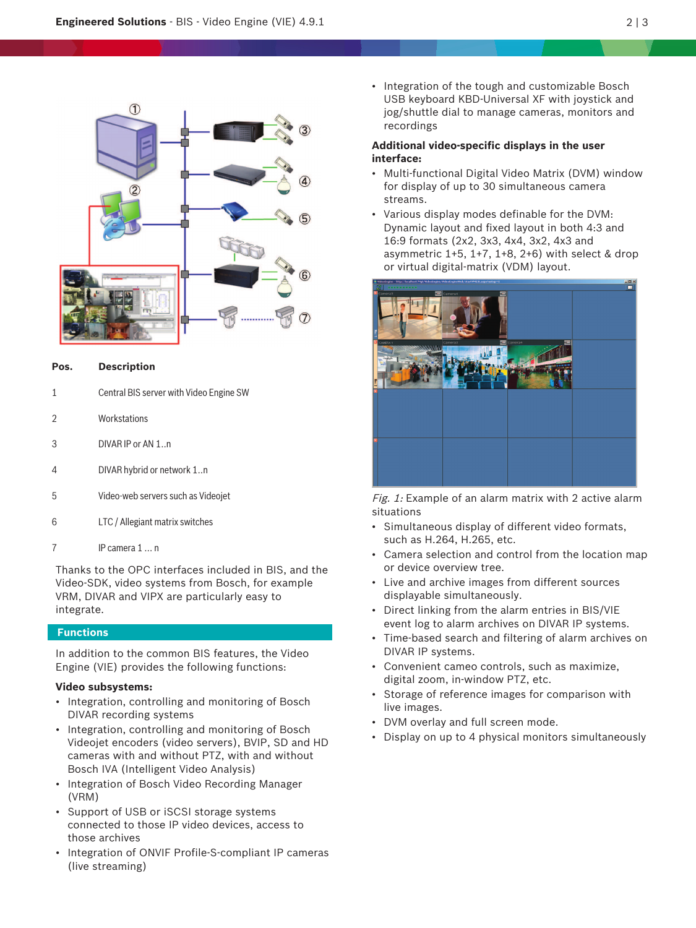

#### **Pos. Description**

- 1 Central BIS server with Video Engine SW
- 2 Workstations
- 3 DIVAR IP or AN 1..n
- 4 DIVAR hybrid or network 1..n
- 5 Video-web servers such as Videojet
- 6 LTC / Allegiant matrix switches
- 7 IP camera 1 … n

Thanks to the OPC interfaces included in BIS, and the Video-SDK, video systems from Bosch, for example VRM, DIVAR and VIPX are particularly easy to integrate.

# **Functions**

In addition to the common BIS features, the Video Engine (VIE) provides the following functions:

# **Video subsystems:**

- Integration, controlling and monitoring of Bosch DIVAR recording systems
- Integration, controlling and monitoring of Bosch Videojet encoders (video servers), BVIP, SD and HD cameras with and without PTZ, with and without Bosch IVA (Intelligent Video Analysis)
- Integration of Bosch Video Recording Manager (VRM)
- Support of USB or iSCSI storage systems connected to those IP video devices, access to those archives
- Integration of ONVIF Profile-S-compliant IP cameras (live streaming)

• Integration of the tough and customizable Bosch USB keyboard KBD-Universal XF with joystick and jog/shuttle dial to manage cameras, monitors and recordings

# **Additional video-specific displays in the user interface:**

- Multi-functional Digital Video Matrix (DVM) window for display of up to 30 simultaneous camera streams.
- Various display modes definable for the DVM: Dynamic layout and fixed layout in both 4:3 and 16:9 formats (2x2, 3x3, 4x4, 3x2, 4x3 and asymmetric  $1+5$ ,  $1+7$ ,  $1+8$ ,  $2+6$ ) with select & drop or virtual digital-matrix (VDM) layout.



Fig. 1: Example of an alarm matrix with 2 active alarm situations

- Simultaneous display of different video formats, such as H.264, H.265, etc.
- Camera selection and control from the location map or device overview tree.
- Live and archive images from different sources displayable simultaneously.
- Direct linking from the alarm entries in BIS/VIE event log to alarm archives on DIVAR IP systems.
- Time-based search and filtering of alarm archives on DIVAR IP systems.
- Convenient cameo controls, such as maximize, digital zoom, in-window PTZ, etc.
- Storage of reference images for comparison with live images.
- DVM overlay and full screen mode.
- Display on up to 4 physical monitors simultaneously